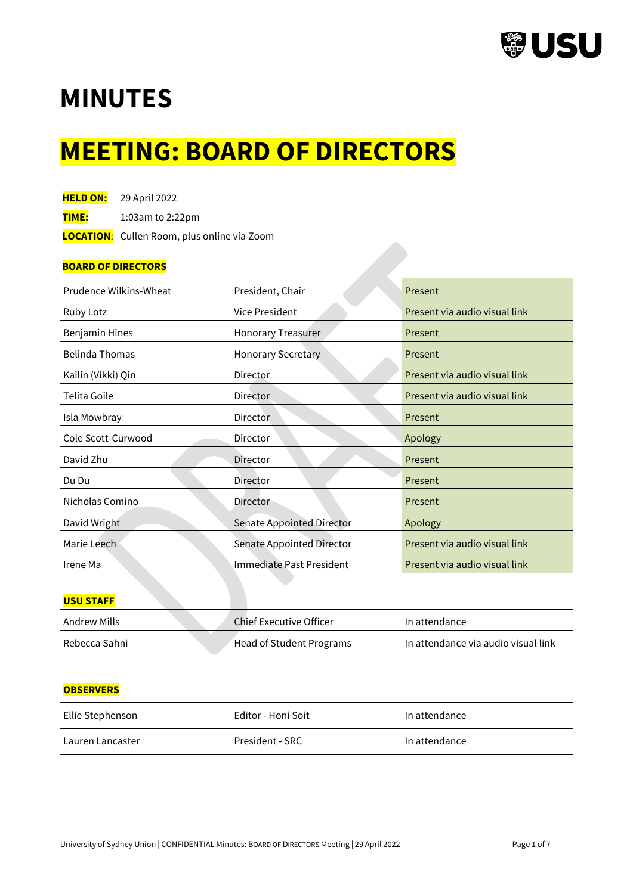

# **MINUTES**

# **MEETING: BOARD OF DIRECTORS**

| <b>HELD ON:</b> | 29 April 2022 |
|-----------------|---------------|
|-----------------|---------------|

**TIME:** 1:03am to 2:22pm

 **LOCATION**: Cullen Room, plus online via Zoom

## **BOARD OF DIRECTORS**

| Prudence Wilkins-Wheat | President, Chair                 | Present                       |  |
|------------------------|----------------------------------|-------------------------------|--|
| Ruby Lotz              | Vice President                   | Present via audio visual link |  |
| <b>Benjamin Hines</b>  | <b>Honorary Treasurer</b>        | Present                       |  |
| <b>Belinda Thomas</b>  | <b>Honorary Secretary</b>        | Present                       |  |
| Kailin (Vikki) Qin     | Director                         | Present via audio visual link |  |
| Telita Goile           | <b>Director</b>                  | Present via audio visual link |  |
| Isla Mowbray           | <b>Director</b>                  | Present                       |  |
| Cole Scott-Curwood     | Director                         | Apology                       |  |
| David Zhu              | <b>Director</b>                  | Present                       |  |
| Du Du                  | Director                         | Present                       |  |
| Nicholas Comino        | <b>Director</b>                  | Present                       |  |
| David Wright           | <b>Senate Appointed Director</b> | Apology                       |  |
| Marie Leech            | Senate Appointed Director        | Present via audio visual link |  |
| Irene Ma               | Immediate Past President         | Present via audio visual link |  |

## **USU STAFF**

| Andrew Mills  | Chief Executive Officer  | In attendance                       |
|---------------|--------------------------|-------------------------------------|
| Rebecca Sahni | Head of Student Programs | In attendance via audio visual link |

## **OBSERVERS**

| Ellie Stephenson | Editor - Honi Soit | In attendance |
|------------------|--------------------|---------------|
| Lauren Lancaster | President - SRC    | In attendance |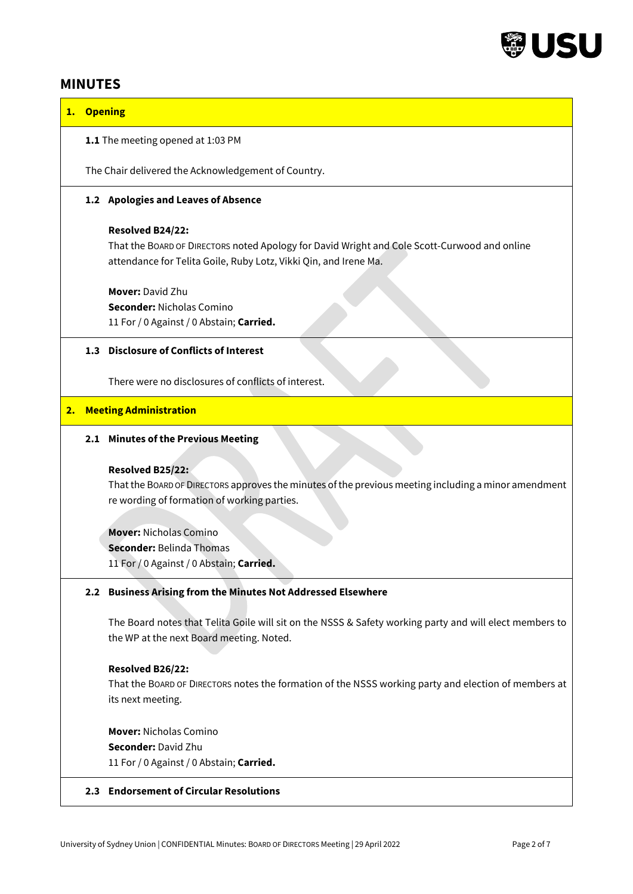

## **MINUTES**

## **1. Opening**

## **1.1** The meeting opened at 1:03 PM

The Chair delivered the Acknowledgement of Country.

## **1.2 Apologies and Leaves of Absence**

### **Resolved B24/22:**

That the BOARD OF DIRECTORS noted Apology for David Wright and Cole Scott-Curwood and online attendance for Telita Goile, Ruby Lotz, Vikki Qin, and Irene Ma.

**Mover:** David Zhu **Seconder:** Nicholas Comino 11 For / 0 Against / 0 Abstain; **Carried.**

## **1.3 Disclosure of Conflicts of Interest**

There were no disclosures of conflicts of interest.

### **2. Meeting Administration**

### **2.1 Minutes of the Previous Meeting**

### **Resolved B25/22:**

That the BOARD OF DIRECTORS approves the minutes of the previous meeting including a minor amendment re wording of formation of working parties.

**Mover:** Nicholas Comino **Seconder:** Belinda Thomas 11 For / 0 Against / 0 Abstain; **Carried.** 

## **2.2 Business Arising from the Minutes Not Addressed Elsewhere**

The Board notes that Telita Goile will sit on the NSSS & Safety working party and will elect members to the WP at the next Board meeting. Noted.

## **Resolved B26/22:**

That the BOARD OF DIRECTORS notes the formation of the NSSS working party and election of members at its next meeting.

**Mover:** Nicholas Comino **Seconder:** David Zhu

11 For / 0 Against / 0 Abstain; **Carried.** 

## **2.3 Endorsement of Circular Resolutions**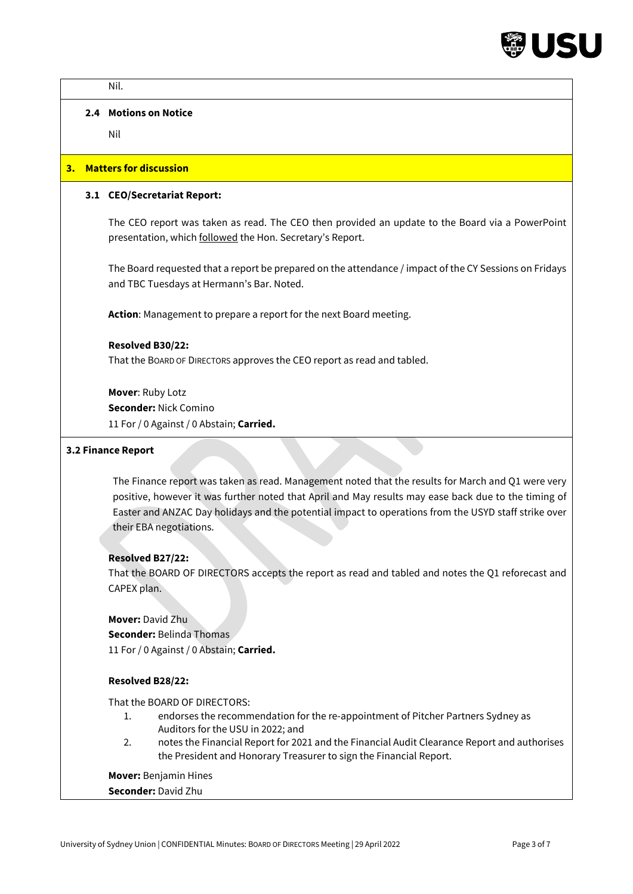

|                  | Nil.                                                                                                                                                                                                                                                                                                                                          |
|------------------|-----------------------------------------------------------------------------------------------------------------------------------------------------------------------------------------------------------------------------------------------------------------------------------------------------------------------------------------------|
|                  | 2.4 Motions on Notice                                                                                                                                                                                                                                                                                                                         |
|                  | Nil                                                                                                                                                                                                                                                                                                                                           |
|                  | 3. Matters for discussion                                                                                                                                                                                                                                                                                                                     |
|                  | 3.1 CEO/Secretariat Report:                                                                                                                                                                                                                                                                                                                   |
|                  | The CEO report was taken as read. The CEO then provided an update to the Board via a PowerPoint<br>presentation, which followed the Hon. Secretary's Report.                                                                                                                                                                                  |
|                  | The Board requested that a report be prepared on the attendance / impact of the CY Sessions on Fridays<br>and TBC Tuesdays at Hermann's Bar. Noted.                                                                                                                                                                                           |
|                  | Action: Management to prepare a report for the next Board meeting.                                                                                                                                                                                                                                                                            |
|                  | Resolved B30/22:                                                                                                                                                                                                                                                                                                                              |
|                  | That the BOARD OF DIRECTORS approves the CEO report as read and tabled.                                                                                                                                                                                                                                                                       |
|                  | Mover: Ruby Lotz<br><b>Seconder: Nick Comino</b><br>11 For / 0 Against / 0 Abstain; Carried.                                                                                                                                                                                                                                                  |
|                  | 3.2 Finance Report                                                                                                                                                                                                                                                                                                                            |
|                  | The Finance report was taken as read. Management noted that the results for March and Q1 were very<br>positive, however it was further noted that April and May results may ease back due to the timing of<br>Easter and ANZAC Day holidays and the potential impact to operations from the USYD staff strike over<br>their EBA negotiations. |
|                  | Resolved B27/22:                                                                                                                                                                                                                                                                                                                              |
|                  | That the BOARD OF DIRECTORS accepts the report as read and tabled and notes the Q1 reforecast and<br>CAPEX plan.                                                                                                                                                                                                                              |
|                  | <b>Mover: David Zhu</b><br><b>Seconder: Belinda Thomas</b><br>11 For / 0 Against / 0 Abstain; Carried.                                                                                                                                                                                                                                        |
| Resolved B28/22: |                                                                                                                                                                                                                                                                                                                                               |
|                  | That the BOARD OF DIRECTORS:<br>endorses the recommendation for the re-appointment of Pitcher Partners Sydney as<br>1.<br>Auditors for the USU in 2022; and<br>notes the Financial Report for 2021 and the Financial Audit Clearance Report and authorises<br>2.<br>the President and Honorary Treasurer to sign the Financial Report.        |
|                  | <b>Mover: Benjamin Hines</b><br>Seconder: David Zhu                                                                                                                                                                                                                                                                                           |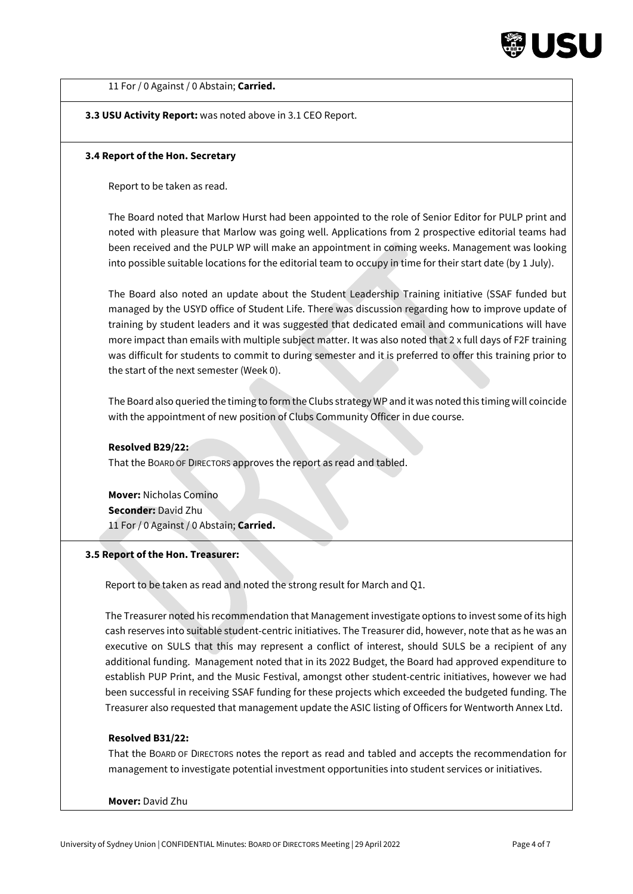

11 For / 0 Against / 0 Abstain; **Carried.**

**3.3 USU Activity Report:** was noted above in 3.1 CEO Report.

#### **3.4 Report of the Hon. Secretary**

Report to be taken as read.

The Board noted that Marlow Hurst had been appointed to the role of Senior Editor for PULP print and noted with pleasure that Marlow was going well. Applications from 2 prospective editorial teams had been received and the PULP WP will make an appointment in coming weeks. Management was looking into possible suitable locations for the editorial team to occupy in time for their start date (by 1 July).

The Board also noted an update about the Student Leadership Training initiative (SSAF funded but managed by the USYD office of Student Life. There was discussion regarding how to improve update of training by student leaders and it was suggested that dedicated email and communications will have more impact than emails with multiple subject matter. It was also noted that 2 x full days of F2F training was difficult for students to commit to during semester and it is preferred to offer this training prior to the start of the next semester (Week 0).

The Board also queried the timing to form the Clubs strategy WP and it was noted this timing will coincide with the appointment of new position of Clubs Community Officer in due course.

#### **Resolved B29/22:**

That the BOARD OF DIRECTORS approves the report as read and tabled.

**Mover:** Nicholas Comino **Seconder:** David Zhu 11 For / 0 Against / 0 Abstain; **Carried.**

### **3.5 Report of the Hon. Treasurer:**

Report to be taken as read and noted the strong result for March and Q1.

The Treasurer noted his recommendation that Management investigate options to invest some of its high cash reserves into suitable student-centric initiatives. The Treasurer did, however, note that as he was an executive on SULS that this may represent a conflict of interest, should SULS be a recipient of any additional funding. Management noted that in its 2022 Budget, the Board had approved expenditure to establish PUP Print, and the Music Festival, amongst other student-centric initiatives, however we had been successful in receiving SSAF funding for these projects which exceeded the budgeted funding. The Treasurer also requested that management update the ASIC listing of Officers for Wentworth Annex Ltd.

#### **Resolved B31/22:**

That the BOARD OF DIRECTORS notes the report as read and tabled and accepts the recommendation for management to investigate potential investment opportunities into student services or initiatives.

#### **Mover:** David Zhu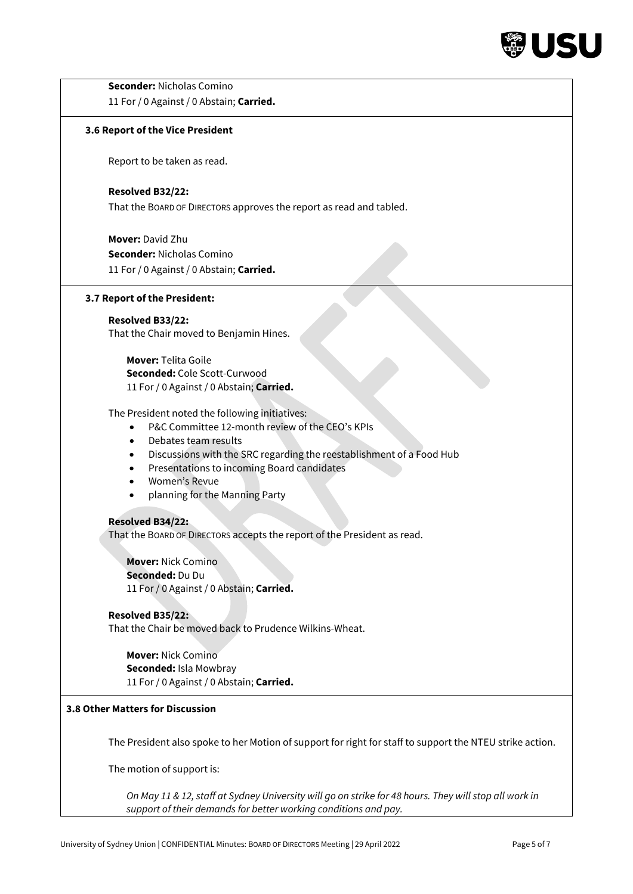

| <b>Seconder: Nicholas Comino</b>                                                                         |
|----------------------------------------------------------------------------------------------------------|
| 11 For / 0 Against / 0 Abstain; Carried.                                                                 |
| 3.6 Report of the Vice President                                                                         |
| Report to be taken as read.                                                                              |
| Resolved B32/22:                                                                                         |
| That the BOARD OF DIRECTORS approves the report as read and tabled.                                      |
| <b>Mover: David Zhu</b>                                                                                  |
| <b>Seconder: Nicholas Comino</b>                                                                         |
| 11 For / 0 Against / 0 Abstain; Carried.                                                                 |
| 3.7 Report of the President:                                                                             |
| Resolved B33/22:                                                                                         |
| That the Chair moved to Benjamin Hines.                                                                  |
| <b>Mover: Telita Goile</b>                                                                               |
| Seconded: Cole Scott-Curwood                                                                             |
| 11 For / 0 Against / 0 Abstain; Carried.                                                                 |
| The President noted the following initiatives:                                                           |
| P&C Committee 12-month review of the CEO's KPIs<br>$\bullet$                                             |
| Debates team results<br>$\bullet$                                                                        |
| Discussions with the SRC regarding the reestablishment of a Food Hub<br>٠                                |
| Presentations to incoming Board candidates<br>٠                                                          |
| Women's Revue<br>$\bullet$                                                                               |
| planning for the Manning Party<br>$\bullet$                                                              |
| <b>Resolved B34/22:</b>                                                                                  |
| That the BOARD OF DIRECTORS accepts the report of the President as read.                                 |
| <b>Mover: Nick Comino</b>                                                                                |
| Seconded: Du Du                                                                                          |
| 11 For / 0 Against / 0 Abstain; Carried.                                                                 |
| Resolved B35/22:                                                                                         |
| That the Chair be moved back to Prudence Wilkins-Wheat.                                                  |
| <b>Mover: Nick Comino</b>                                                                                |
| Seconded: Isla Mowbray                                                                                   |
| 11 For / 0 Against / 0 Abstain; Carried.                                                                 |
| 3.8 Other Matters for Discussion                                                                         |
| The President also spoke to her Motion of support for right for staff to support the NTEU strike action. |
| The motion of support is:                                                                                |
|                                                                                                          |
| On May 11 & 12, staff at Sydney University will go on strike for 48 hours. They will stop all work in    |
| support of their demands for better working conditions and pay.                                          |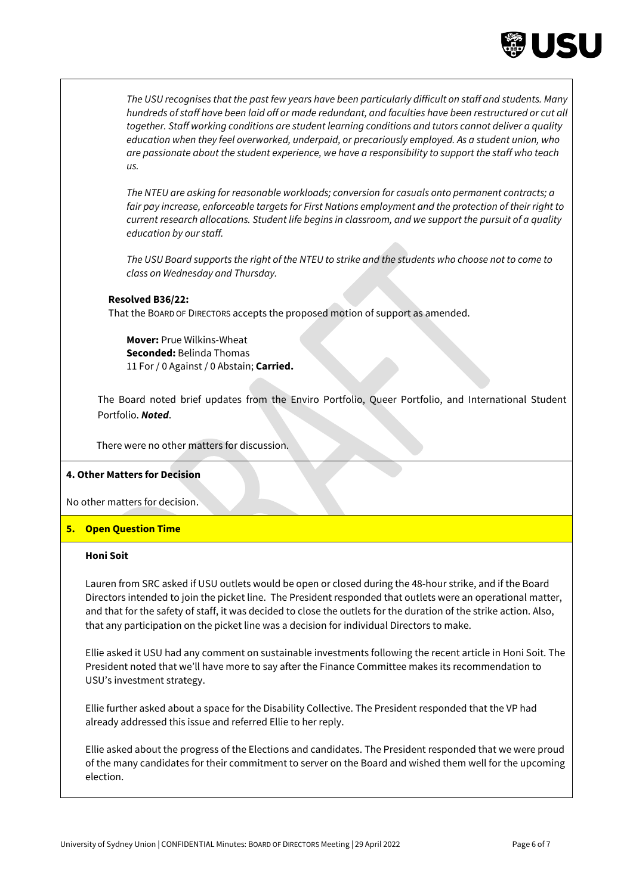

*The USU recognises that the past few years have been particularly difficult on staff and students. Many hundreds of staff have been laid off or made redundant, and faculties have been restructured or cut all together. Staff working conditions are student learning conditions and tutors cannot deliver a quality education when they feel overworked, underpaid, or precariously employed. As a student union, who are passionate about the student experience, we have a responsibility to support the staff who teach us.*

*The NTEU are asking for reasonable workloads; conversion for casuals onto permanent contracts; a fair pay increase, enforceable targets for First Nations employment and the protection of their right to current research allocations. Student life begins in classroom, and we support the pursuit of a quality education by our staff.*

*The USU Board supports the right of the NTEU to strike and the students who choose not to come to class on Wednesday and Thursday.* 

#### **Resolved B36/22:**

That the BOARD OF DIRECTORS accepts the proposed motion of support as amended.

**Mover:** Prue Wilkins-Wheat **Seconded:** Belinda Thomas 11 For / 0 Against / 0 Abstain; **Carried.** 

The Board noted brief updates from the Enviro Portfolio, Queer Portfolio, and International Student Portfolio. *Noted*.

There were no other matters for discussion.

### **4. Other Matters for Decision**

No other matters for decision.

## **5. Open Question Time**

## **Honi Soit**

Lauren from SRC asked if USU outlets would be open or closed during the 48-hour strike, and if the Board Directors intended to join the picket line. The President responded that outlets were an operational matter, and that for the safety of staff, it was decided to close the outlets for the duration of the strike action. Also, that any participation on the picket line was a decision for individual Directors to make.

Ellie asked it USU had any comment on sustainable investments following the recent article in Honi Soit. The President noted that we'll have more to say after the Finance Committee makes its recommendation to USU's investment strategy.

Ellie further asked about a space for the Disability Collective. The President responded that the VP had already addressed this issue and referred Ellie to her reply.

Ellie asked about the progress of the Elections and candidates. The President responded that we were proud of the many candidates for their commitment to server on the Board and wished them well for the upcoming election.